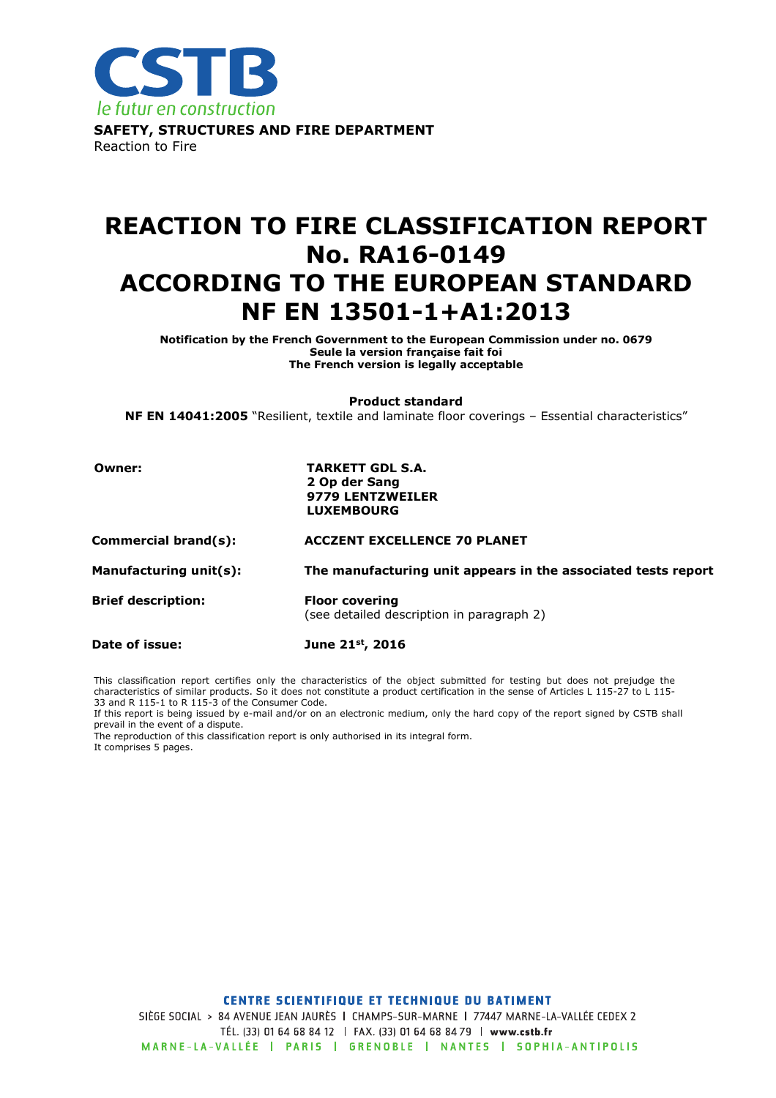

# REACTION TO FIRE CLASSIFICATION REPORT No. RA16-0149 ACCORDING TO THE EUROPEAN STANDARD NF EN 13501-1+A1:2013

Notification by the French Government to the European Commission under no. 0679 Seule la version française fait foi The French version is legally acceptable

Product standard

NF EN 14041:2005 "Resilient, textile and laminate floor coverings - Essential characteristics"

#### Owner: TARKETT GDL S.A. 2 Op der Sang 9779 LENTZWEILER LUXEMBOURG

Commercial brand(s): ACCZENT EXCELLENCE 70 PLANET

Manufacturing unit(s): The manufacturing unit appears in the associated tests report

Brief description: Floor covering (see detailed description in paragraph 2)

Date of issue: June 21st, 2016

This classification report certifies only the characteristics of the object submitted for testing but does not prejudge the characteristics of similar products. So it does not constitute a product certification in the sense of Articles L 115-27 to L 115- 33 and R 115-1 to R 115-3 of the Consumer Code.

If this report is being issued by e-mail and/or on an electronic medium, only the hard copy of the report signed by CSTB shall prevail in the event of a dispute.

The reproduction of this classification report is only authorised in its integral form. It comprises 5 pages.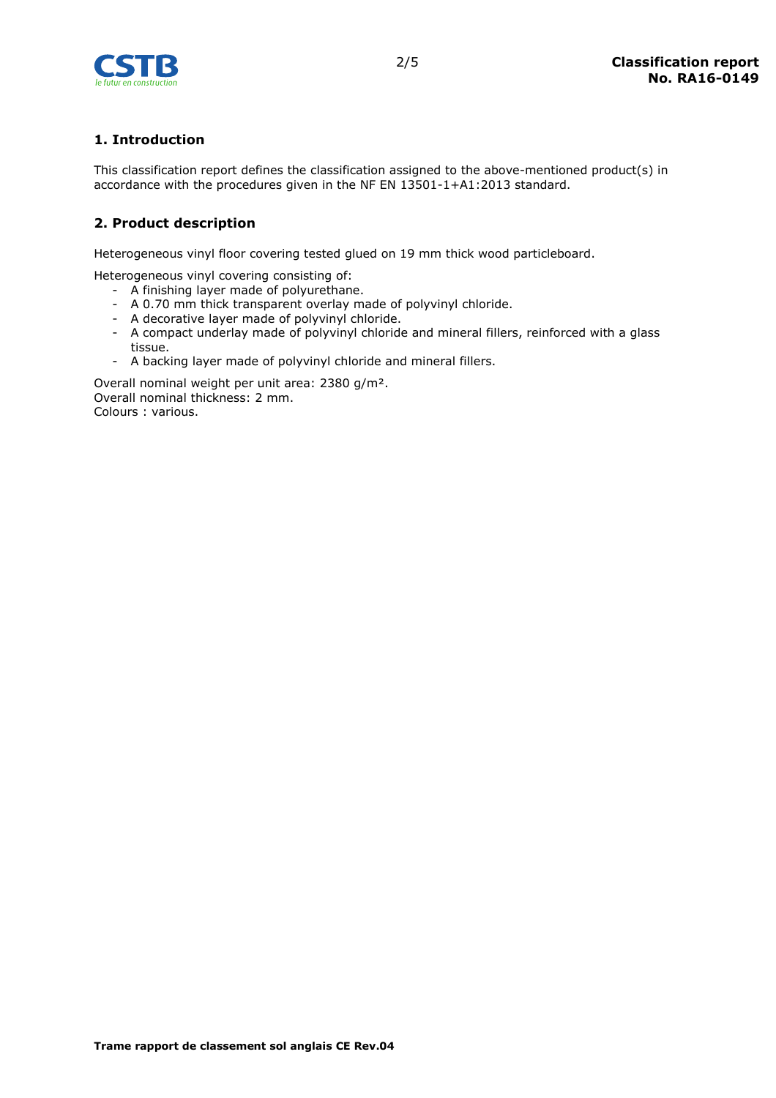

# 1. Introduction

This classification report defines the classification assigned to the above-mentioned product(s) in accordance with the procedures given in the NF EN 13501-1+A1:2013 standard.

# 2. Product description

Heterogeneous vinyl floor covering tested glued on 19 mm thick wood particleboard.

Heterogeneous vinyl covering consisting of:

- A finishing layer made of polyurethane.
- A 0.70 mm thick transparent overlay made of polyvinyl chloride.
- A decorative layer made of polyvinyl chloride.
- A compact underlay made of polyvinyl chloride and mineral fillers, reinforced with a glass tissue.
- A backing layer made of polyvinyl chloride and mineral fillers.

Overall nominal weight per unit area: 2380 g/m². Overall nominal thickness: 2 mm. Colours : various.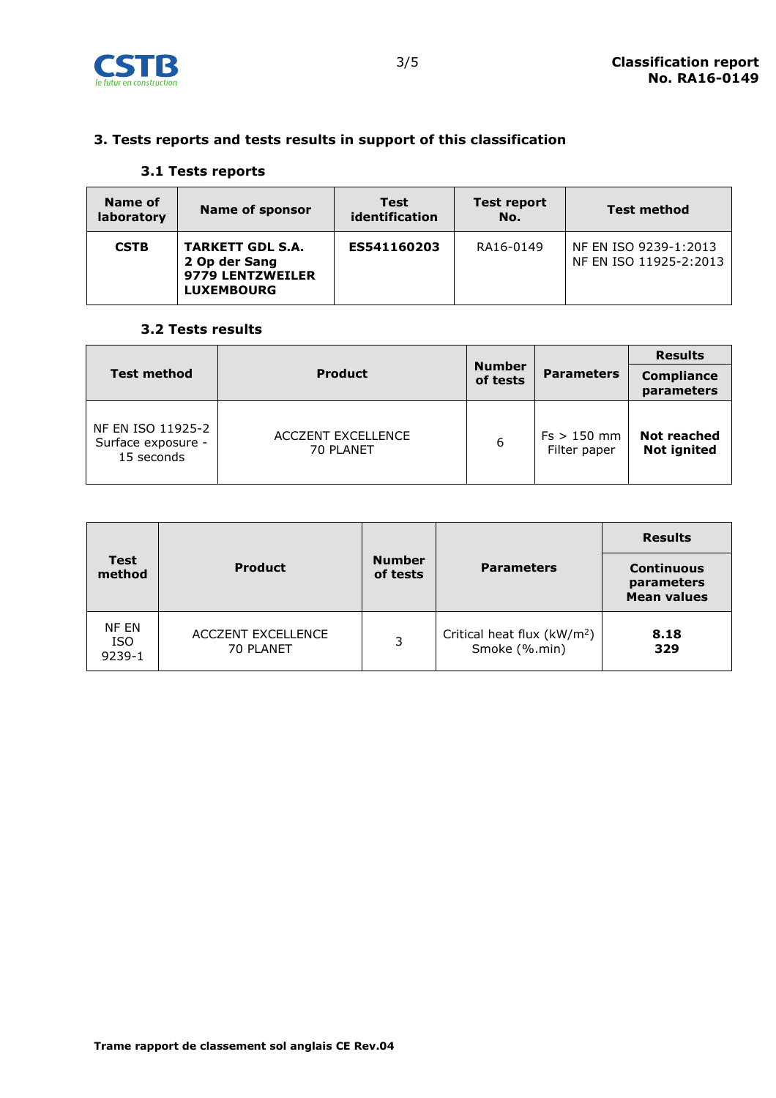

# 3. Tests reports and tests results in support of this classification

### 3.1 Tests reports

| Name of<br>laboratory | <b>Name of sponsor</b>                                                            | <b>Test</b><br>identification | Test report<br>No. | <b>Test method</b>                              |
|-----------------------|-----------------------------------------------------------------------------------|-------------------------------|--------------------|-------------------------------------------------|
| <b>CSTB</b>           | <b>TARKETT GDL S.A.</b><br>2 Op der Sang<br>9779 LENTZWEILER<br><b>LUXEMBOURG</b> | ES541160203                   | RA16-0149          | NF EN ISO 9239-1:2013<br>NF EN ISO 11925-2:2013 |

#### 3.2 Tests results

| <b>Test method</b>                                    | <b>Product</b>                         | <b>Number</b><br>of tests | <b>Parameters</b>             | <b>Results</b><br><b>Compliance</b><br>parameters |
|-------------------------------------------------------|----------------------------------------|---------------------------|-------------------------------|---------------------------------------------------|
| NF EN ISO 11925-2<br>Surface exposure -<br>15 seconds | <b>ACCZENT EXCELLENCE</b><br>70 PLANET | 6                         | $Fs > 150$ mm<br>Filter paper | <b>Not reached</b><br><b>Not ignited</b>          |

| <b>Test</b><br>method         | <b>Product</b>                         | <b>Number</b><br>of tests | <b>Parameters</b>                                        | <b>Results</b><br><b>Continuous</b><br>parameters<br><b>Mean values</b> |
|-------------------------------|----------------------------------------|---------------------------|----------------------------------------------------------|-------------------------------------------------------------------------|
| NF EN<br><b>ISO</b><br>9239-1 | <b>ACCZENT EXCELLENCE</b><br>70 PLANET | 3                         | Critical heat flux (kW/m <sup>2</sup> )<br>Smoke (%.min) | 8.18<br>329                                                             |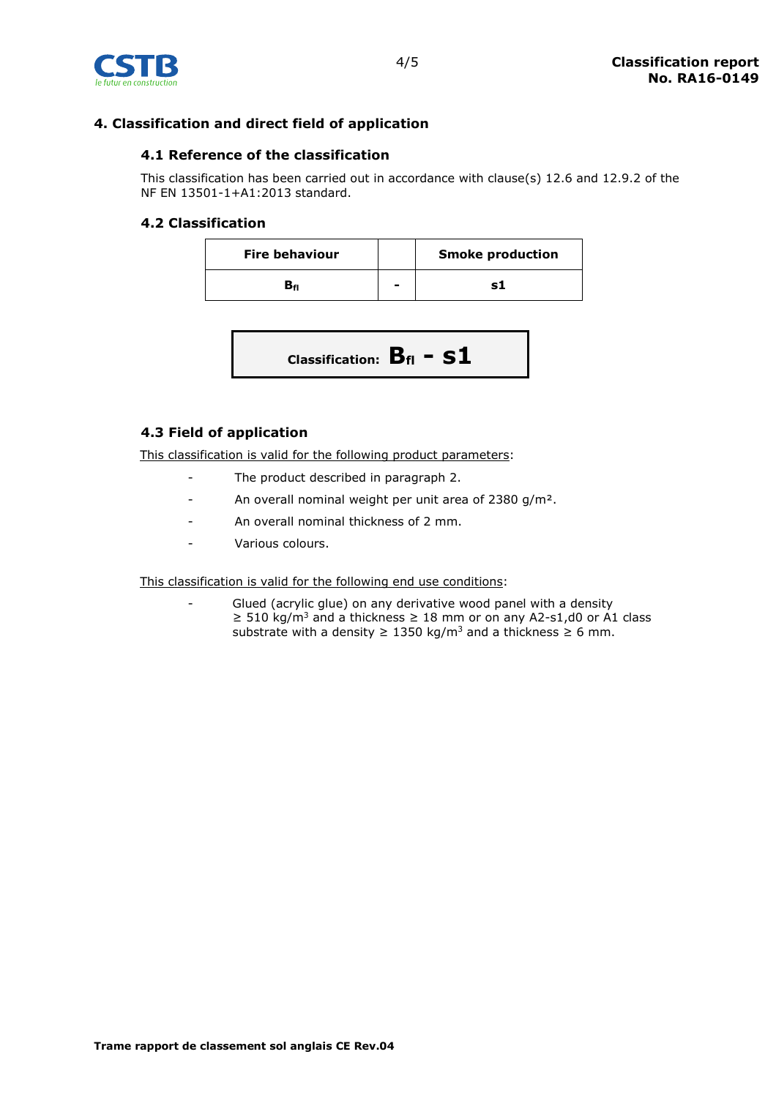

# 4. Classification and direct field of application

### 4.1 Reference of the classification

This classification has been carried out in accordance with clause(s) 12.6 and 12.9.2 of the NF EN 13501-1+A1:2013 standard.

#### 4.2 Classification

| <b>Fire behaviour</b> |   | <b>Smoke production</b> |
|-----------------------|---|-------------------------|
|                       | - |                         |

$$
Classification: B_{fl} - S1
$$

# 4.3 Field of application

This classification is valid for the following product parameters:

- The product described in paragraph 2.
- An overall nominal weight per unit area of 2380 g/m².
- An overall nominal thickness of 2 mm.
- Various colours.

This classification is valid for the following end use conditions:

Glued (acrylic glue) on any derivative wood panel with a density  $≥ 510$  kg/m<sup>3</sup> and a thickness  $≥ 18$  mm or on any A2-s1,d0 or A1 class substrate with a density  $\geq 1350 \text{ kg/m}^3$  and a thickness  $\geq 6 \text{ mm}$ .